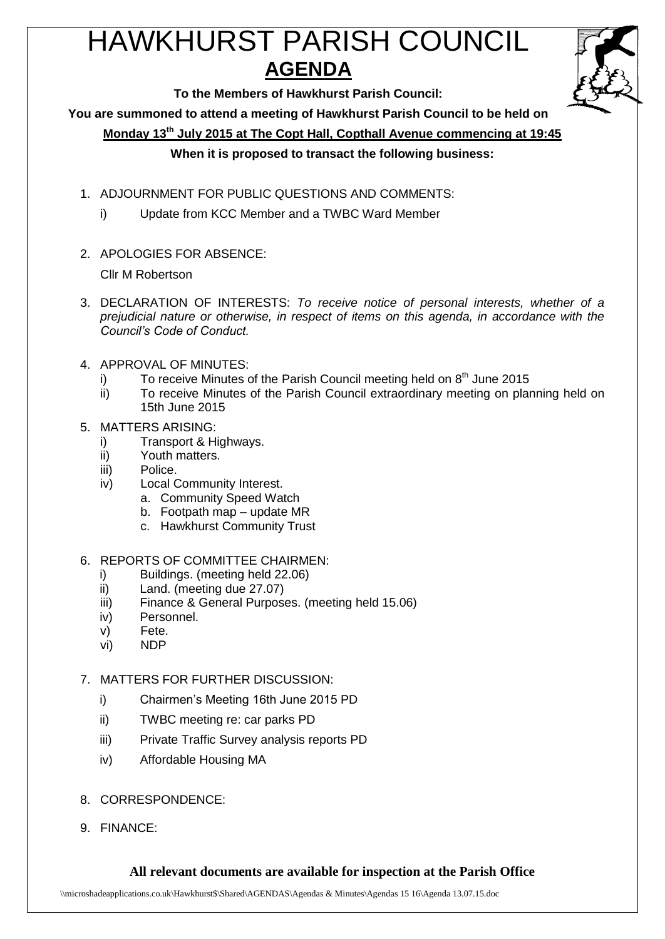# HAWKHURST PARISH COUNCIL **AGENDA**



**To the Members of Hawkhurst Parish Council:**

**You are summoned to attend a meeting of Hawkhurst Parish Council to be held on**

**Monday 13th July 2015 at The Copt Hall, Copthall Avenue commencing at 19:45**

## **When it is proposed to transact the following business:**

- 1. ADJOURNMENT FOR PUBLIC QUESTIONS AND COMMENTS:
	- i) Update from KCC Member and a TWBC Ward Member
- 2. APOLOGIES FOR ABSENCE:

Cllr M Robertson

- 3. DECLARATION OF INTERESTS: *To receive notice of personal interests, whether of a prejudicial nature or otherwise, in respect of items on this agenda, in accordance with the Council's Code of Conduct.*
- 4. APPROVAL OF MINUTES:
	- i) To receive Minutes of the Parish Council meeting held on  $8<sup>th</sup>$  June 2015
	- ii) To receive Minutes of the Parish Council extraordinary meeting on planning held on 15th June 2015
- 5. MATTERS ARISING:
	- i) Transport & Highways.
	- ii) Youth matters.
	- iii) Police.
	- iv) Local Community Interest.
		- a. Community Speed Watch
		- b. Footpath map update MR
		- c. Hawkhurst Community Trust
- 6. REPORTS OF COMMITTEE CHAIRMEN:
	- i) Buildings. (meeting held 22.06)
	- ii) Land. (meeting due 27.07)
	- iii) Finance & General Purposes. (meeting held 15.06)
	- iv) Personnel.
	- v) Fete.
	- vi) NDP
- 7. MATTERS FOR FURTHER DISCUSSION:
	- i) Chairmen's Meeting 16th June 2015 PD
	- ii) TWBC meeting re: car parks PD
	- iii) Private Traffic Survey analysis reports PD
	- iv) Affordable Housing MA
- 8. CORRESPONDENCE:
- 9. FINANCE:

## **All relevant documents are available for inspection at the Parish Office**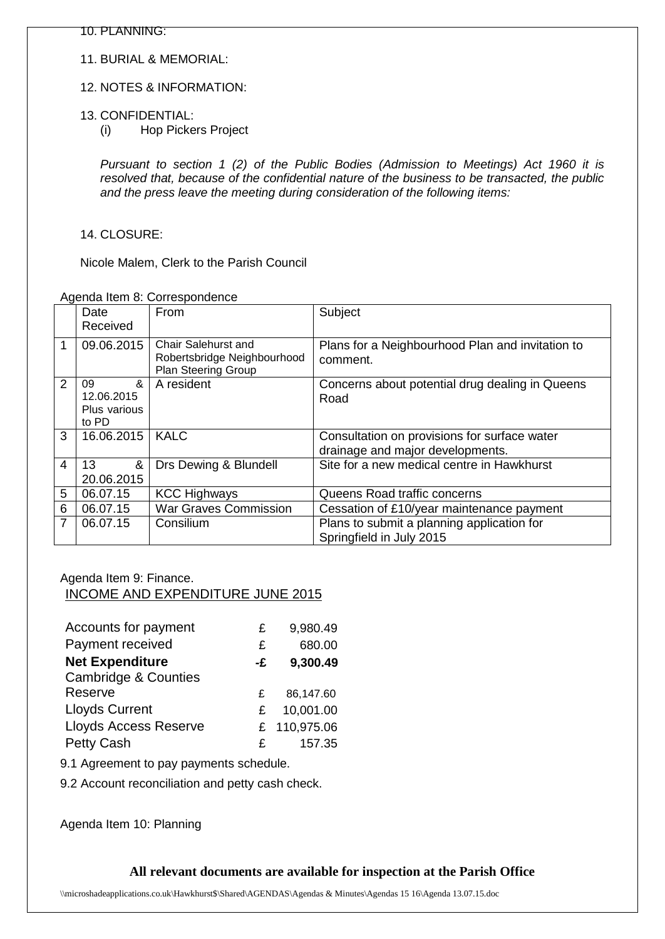10. PLANNING:

11. BURIAL & MEMORIAL:

#### 12. NOTES & INFORMATION:

- 13. CONFIDENTIAL:
	- (i) Hop Pickers Project

*Pursuant to section 1 (2) of the Public Bodies (Admission to Meetings) Act 1960 it is resolved that, because of the confidential nature of the business to be transacted, the public and the press leave the meeting during consideration of the following items:*

#### 14. CLOSURE:

Nicole Malem, Clerk to the Parish Council

#### Agenda Item 8: Correspondence

|                | Date<br>Received                                                        | From                                                                      | Subject                                                                          |
|----------------|-------------------------------------------------------------------------|---------------------------------------------------------------------------|----------------------------------------------------------------------------------|
|                | 09.06.2015                                                              | Chair Salehurst and<br>Robertsbridge Neighbourhood<br>Plan Steering Group | Plans for a Neighbourhood Plan and invitation to<br>comment.                     |
| $\overline{2}$ | $\boldsymbol{\mathcal{S}}$<br>09<br>12.06.2015<br>Plus various<br>to PD | A resident                                                                | Concerns about potential drug dealing in Queens<br>Road                          |
| 3              | 16.06.2015                                                              | <b>KALC</b>                                                               | Consultation on provisions for surface water<br>drainage and major developments. |
| 4              | 13<br>&<br>20.06.2015                                                   | Drs Dewing & Blundell                                                     | Site for a new medical centre in Hawkhurst                                       |
| 5              | 06.07.15                                                                | <b>KCC Highways</b>                                                       | Queens Road traffic concerns                                                     |
| 6              | 06.07.15                                                                | <b>War Graves Commission</b>                                              | Cessation of £10/year maintenance payment                                        |
| 7              | 06.07.15                                                                | Consilium                                                                 | Plans to submit a planning application for<br>Springfield in July 2015           |

#### Agenda Item 9: Finance.

INCOME AND EXPENDITURE JUNE 2015

| Accounts for payment            | £  | 9,980.49     |
|---------------------------------|----|--------------|
| Payment received                | £  | 680.00       |
| <b>Net Expenditure</b>          | -£ | 9,300.49     |
| <b>Cambridge &amp; Counties</b> |    |              |
| Reserve                         | £  | 86,147.60    |
| <b>Lloyds Current</b>           | £  | 10,001.00    |
| <b>Lloyds Access Reserve</b>    |    | £ 110,975.06 |
| Petty Cash                      | £  | 157.35       |

9.1 Agreement to pay payments schedule.

9.2 Account reconciliation and petty cash check.

Agenda Item 10: Planning

## **All relevant documents are available for inspection at the Parish Office**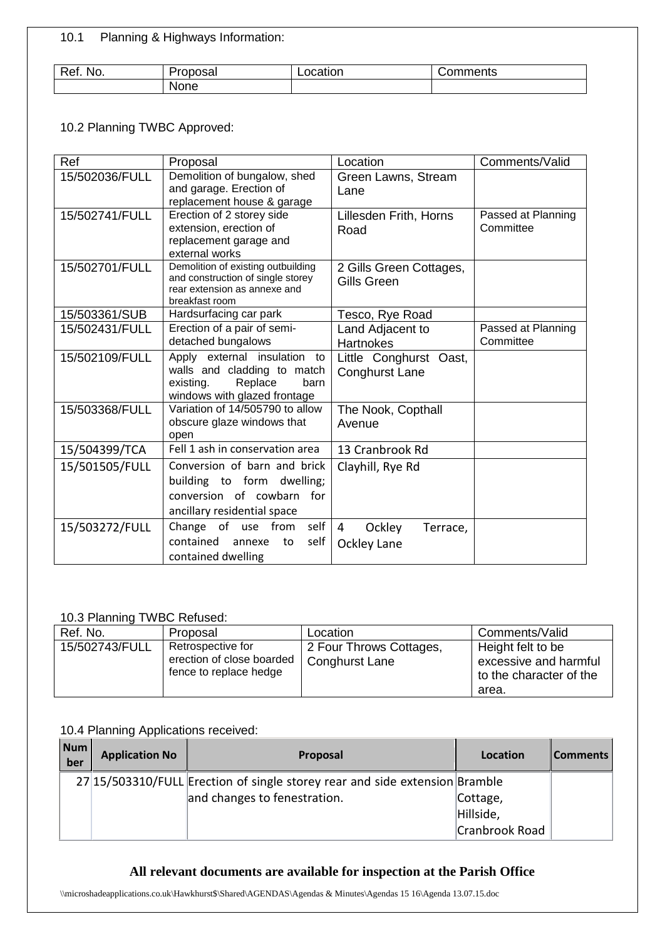10.1 Planning & Highways Information:

| Ret.<br>NO. | 'roposal | ≀catıon | วmments<br>$\overline{\phantom{a}}$ |
|-------------|----------|---------|-------------------------------------|
|             | None     |         |                                     |

### 10.2 Planning TWBC Approved:

| Ref            | Proposal                                                                | Location                             | Comments/Valid     |
|----------------|-------------------------------------------------------------------------|--------------------------------------|--------------------|
| 15/502036/FULL | Demolition of bungalow, shed                                            | Green Lawns, Stream                  |                    |
|                | and garage. Erection of                                                 | Lane                                 |                    |
|                | replacement house & garage                                              |                                      |                    |
| 15/502741/FULL | Erection of 2 storey side                                               | Lillesden Frith, Horns               | Passed at Planning |
|                | extension, erection of                                                  | Road                                 | Committee          |
|                | replacement garage and                                                  |                                      |                    |
|                | external works                                                          |                                      |                    |
| 15/502701/FULL | Demolition of existing outbuilding<br>and construction of single storey | 2 Gills Green Cottages,              |                    |
|                | rear extension as annexe and                                            | Gills Green                          |                    |
|                | breakfast room                                                          |                                      |                    |
| 15/503361/SUB  | Hardsurfacing car park                                                  | Tesco, Rye Road                      |                    |
| 15/502431/FULL | Erection of a pair of semi-                                             | Land Adjacent to                     | Passed at Planning |
|                | detached bungalows                                                      | <b>Hartnokes</b>                     | Committee          |
| 15/502109/FULL | Apply external insulation<br>to                                         | Little Conghurst Oast,               |                    |
|                | walls and cladding to match                                             | <b>Conghurst Lane</b>                |                    |
|                | Replace<br>existing.<br>barn                                            |                                      |                    |
|                | windows with glazed frontage                                            |                                      |                    |
| 15/503368/FULL | Variation of 14/505790 to allow                                         | The Nook, Copthall                   |                    |
|                | obscure glaze windows that                                              | Avenue                               |                    |
|                | open                                                                    |                                      |                    |
| 15/504399/TCA  | Fell 1 ash in conservation area                                         | 13 Cranbrook Rd                      |                    |
| 15/501505/FULL | Conversion of barn and brick                                            | Clayhill, Rye Rd                     |                    |
|                | building to form dwelling;                                              |                                      |                    |
|                | conversion of cowbarn<br>for                                            |                                      |                    |
|                | ancillary residential space                                             |                                      |                    |
| 15/503272/FULL | self<br>Change<br>of use from                                           | $\overline{4}$<br>Ockley<br>Terrace, |                    |
|                | contained<br>self<br>annexe<br>to                                       | Ockley Lane                          |                    |
|                | contained dwelling                                                      |                                      |                    |
|                |                                                                         |                                      |                    |

## 10.3 Planning TWBC Refused:

| Ref. No.       | Proposal                                                                 | Location                                  | Comments/Valid                                                                 |
|----------------|--------------------------------------------------------------------------|-------------------------------------------|--------------------------------------------------------------------------------|
| 15/502743/FULL | Retrospective for<br>erection of close boarded<br>fence to replace hedge | 2 Four Throws Cottages,<br>Conghurst Lane | Height felt to be<br>excessive and harmful<br>to the character of the<br>area. |

#### 10.4 Planning Applications received:

| Num<br>ber | <b>Application No</b> | <b>Proposal</b>                                                             | Location       | <b>Comments</b> |
|------------|-----------------------|-----------------------------------------------------------------------------|----------------|-----------------|
|            |                       | 27 15/503310/FULL Erection of single storey rear and side extension Bramble |                |                 |
|            |                       | and changes to fenestration.                                                | Cottage,       |                 |
|            |                       |                                                                             | Hillside,      |                 |
|            |                       |                                                                             | Cranbrook Road |                 |

## **All relevant documents are available for inspection at the Parish Office**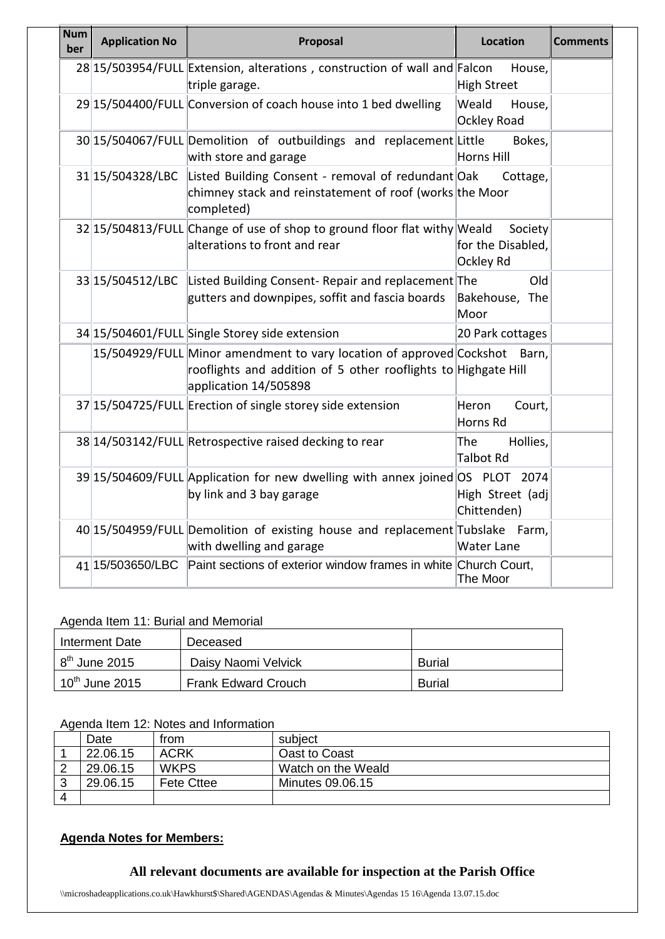| Num<br>ber | <b>Application No</b> | Proposal                                                                                                                                                        | Location                                  | <b>Comments</b> |
|------------|-----------------------|-----------------------------------------------------------------------------------------------------------------------------------------------------------------|-------------------------------------------|-----------------|
|            |                       | 28 15/503954/FULL Extension, alterations, construction of wall and Falcon<br>triple garage.                                                                     | House,<br>High Street                     |                 |
|            |                       | 29 15/504400/FULL Conversion of coach house into 1 bed dwelling                                                                                                 | Weald<br>House,<br><b>Ockley Road</b>     |                 |
|            |                       | 30 15/504067/FULL Demolition of outbuildings and replacement Little<br>with store and garage                                                                    | Bokes,<br>Horns Hill                      |                 |
|            | 31 15/504328/LBC      | Listed Building Consent - removal of redundant Oak<br>chimney stack and reinstatement of roof (works the Moor<br>completed)                                     | Cottage,                                  |                 |
|            |                       | 32 15/504813/FULL Change of use of shop to ground floor flat withy Weald<br>alterations to front and rear                                                       | Society<br>for the Disabled,<br>Ockley Rd |                 |
|            | 33 15/504512/LBC      | Listed Building Consent- Repair and replacement The<br>gutters and downpipes, soffit and fascia boards                                                          | Old<br>Bakehouse, The<br>Moor             |                 |
|            |                       | 34 15/504601/FULL Single Storey side extension                                                                                                                  | 20 Park cottages                          |                 |
|            |                       | 15/504929/FULL Minor amendment to vary location of approved Cockshot<br>rooflights and addition of 5 other rooflights to Highgate Hill<br>application 14/505898 | Barn,                                     |                 |
|            |                       | 37 15/504725/FULL Erection of single storey side extension                                                                                                      | Heron<br>Court,<br>Horns Rd               |                 |
|            |                       | 38 14/503142/FULL Retrospective raised decking to rear                                                                                                          | The<br>Hollies,<br>Talbot Rd              |                 |
|            |                       | 39 15/504609/FULL Application for new dwelling with annex joined OS PLOT 2074<br>by link and 3 bay garage                                                       | High Street (adj<br>Chittenden)           |                 |
|            |                       | 40 15/504959/FULL Demolition of existing house and replacement Tubslake Farm,<br>with dwelling and garage                                                       | Water Lane                                |                 |
|            | 41 15/503650/LBC      | Paint sections of exterior window frames in white Church Court,                                                                                                 | The Moor                                  |                 |

#### Agenda Item 11: Burial and Memorial

| Interment Date             | Deceased                   |               |
|----------------------------|----------------------------|---------------|
| $8th$ June 2015            | Daisy Naomi Velvick        | <b>Burial</b> |
| $10^{\text{th}}$ June 2015 | <b>Frank Edward Crouch</b> | <b>Burial</b> |

#### Agenda Item 12: Notes and Information

|          | Date     | from              | subject            |
|----------|----------|-------------------|--------------------|
|          | 22.06.15 | <b>ACRK</b>       | Oast to Coast      |
|          | 29.06.15 | <b>WKPS</b>       | Watch on the Weald |
|          | 29.06.15 | <b>Fete Cttee</b> | Minutes 09.06.15   |
| $\Delta$ |          |                   |                    |

# **Agenda Notes for Members:**

## **All relevant documents are available for inspection at the Parish Office**